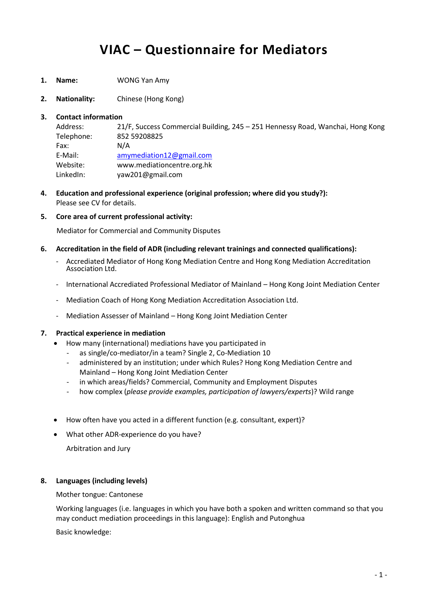# **VIAC – Questionnaire for Mediators**

- **1. Name:** WONG Yan Amy
- **2. Nationality:** Chinese (Hong Kong)

#### **3. Contact information**

Address: 21/F, Success Commercial Building, 245 – 251 Hennessy Road, Wanchai, Hong Kong Telephone: 852 59208825 Fax: N/A E-Mail: [amymediation12@gmail.com](mailto:amymediation12@gmail.com) Website: www.mediationcentre.org.hk LinkedIn: yaw201@gmail.com

- **4. Education and professional experience (original profession; where did you study?):** Please see CV for details.
- **5. Core area of current professional activity:**

Mediator for Commercial and Community Disputes

#### **6. Accreditation in the field of ADR (including relevant trainings and connected qualifications):**

- Accrediated Mediator of Hong Kong Mediation Centre and Hong Kong Mediation Accreditation Association Ltd.
- International Accrediated Professional Mediator of Mainland Hong Kong Joint Mediation Center
- Mediation Coach of Hong Kong Mediation Accreditation Association Ltd.
- Mediation Assesser of Mainland Hong Kong Joint Mediation Center

#### **7. Practical experience in mediation**

- How many (international) mediations have you participated in
	- as single/co-mediator/in a team? Single 2, Co-Mediation 10
	- administered by an institution; under which Rules? Hong Kong Mediation Centre and Mainland – Hong Kong Joint Mediation Center
	- in which areas/fields? Commercial, Community and Employment Disputes
	- how complex (*please provide examples, participation of lawyers/experts*)? Wild range
- How often have you acted in a different function (e.g. consultant, expert)?
- What other ADR-experience do you have?

Arbitration and Jury

#### **8. Languages (including levels)**

Mother tongue: Cantonese

Working languages (i.e. languages in which you have both a spoken and written command so that you may conduct mediation proceedings in this language): English and Putonghua

Basic knowledge: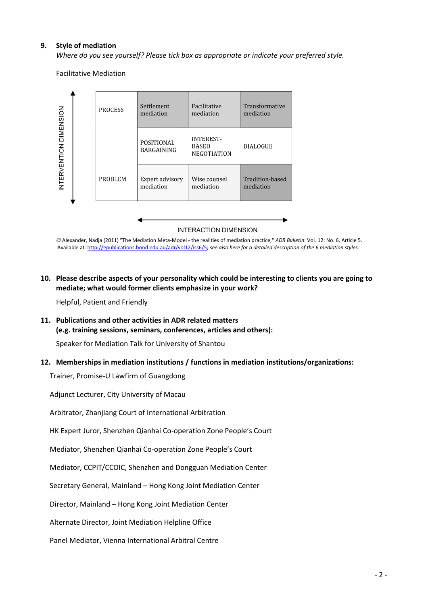#### **9. Style of mediation**

*Where do you see yourself? Please tick box as appropriate or indicate your preferred style.*

Facilitative Mediation



*©* Alexander, Nadja (2011) "The Mediation Meta-Model - the realities of mediation practice," *ADR Bulletin*: Vol. 12: No. 6, Article 5. Available at[: http://epublications.bond.edu.au/adr/vol12/iss6/5;](http://epublications.bond.edu.au/adr/vol12/iss6/5) *see also here for a detailed description of the 6 mediation styles.*

#### **10. Please describe aspects of your personality which could be interesting to clients you are going to mediate; what would former clients emphasize in your work?**

Helpful, Patient and Friendly

#### **11. Publications and other activities in ADR related matters (e.g. training sessions, seminars, conferences, articles and others):**

Speaker for Mediation Talk for University of Shantou

#### **12. Memberships in mediation institutions / functions in mediation institutions/organizations:**

Trainer, Promise-U Lawfirm of Guangdong

Adjunct Lecturer, City University of Macau

Arbitrator, Zhanjiang Court of International Arbitration

HK Expert Juror, Shenzhen Qianhai Co-operation Zone People's Court

Mediator, Shenzhen Qianhai Co-operation Zone People's Court

Mediator, CCPIT/CCOIC, Shenzhen and Dongguan Mediation Center

Secretary General, Mainland – Hong Kong Joint Mediation Center

Director, Mainland – Hong Kong Joint Mediation Center

Alternate Director, Joint Mediation Helpline Office

Panel Mediator, Vienna International Arbitral Centre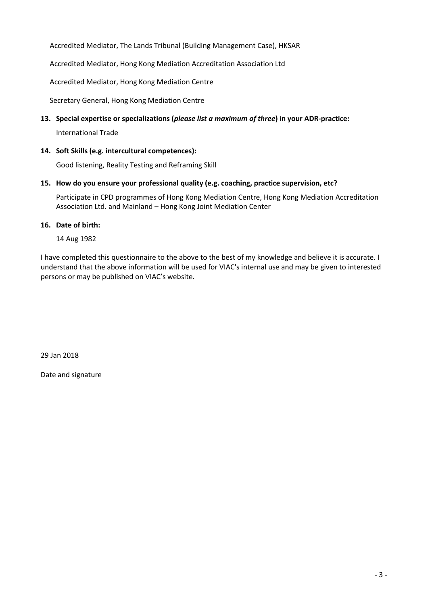Accredited Mediator, The Lands Tribunal (Building Management Case), HKSAR

Accredited Mediator, Hong Kong Mediation Accreditation Association Ltd

Accredited Mediator, Hong Kong Mediation Centre

Secretary General, Hong Kong Mediation Centre

**13. Special expertise or specializations (***please list a maximum of three***) in your ADR-practice:**

International Trade

**14. Soft Skills (e.g. intercultural competences):**

Good listening, Reality Testing and Reframing Skill

#### **15. How do you ensure your professional quality (e.g. coaching, practice supervision, etc?**

Participate in CPD programmes of Hong Kong Mediation Centre, Hong Kong Mediation Accreditation Association Ltd. and Mainland – Hong Kong Joint Mediation Center

#### **16. Date of birth:**

14 Aug 1982

I have completed this questionnaire to the above to the best of my knowledge and believe it is accurate. I understand that the above information will be used for VIAC's internal use and may be given to interested persons or may be published on VIAC's website.

29 Jan 2018

Date and signature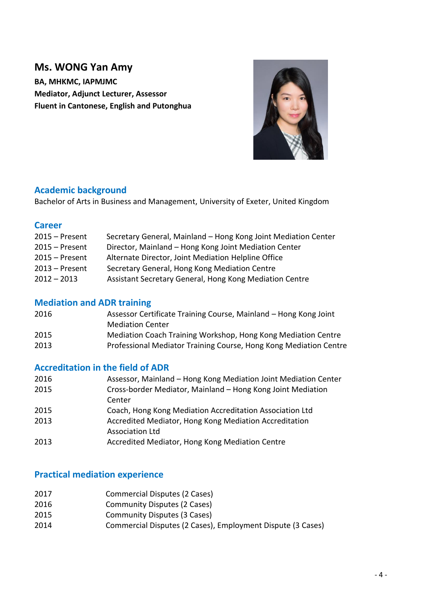## **Ms. WONG Yan Amy**

**BA, MHKMC, IAPMJMC Mediator, Adjunct Lecturer, Assessor Fluent in Cantonese, English and Putonghua**



## **Academic background**

Bachelor of Arts in Business and Management, University of Exeter, United Kingdom

### **Career**

| $2015 -$ Present | Secretary General, Mainland - Hong Kong Joint Mediation Center |
|------------------|----------------------------------------------------------------|
| $2015 -$ Present | Director, Mainland - Hong Kong Joint Mediation Center          |
| $2015 -$ Present | Alternate Director, Joint Mediation Helpline Office            |
| $2013$ – Present | Secretary General, Hong Kong Mediation Centre                  |
| $2012 - 2013$    | Assistant Secretary General, Hong Kong Mediation Centre        |
|                  |                                                                |

## **Mediation and ADR training**

| 2016 | Assessor Certificate Training Course, Mainland – Hong Kong Joint  |
|------|-------------------------------------------------------------------|
|      | <b>Mediation Center</b>                                           |
| 2015 | Mediation Coach Training Workshop, Hong Kong Mediation Centre     |
| 2013 | Professional Mediator Training Course, Hong Kong Mediation Centre |

## **Accreditation in the field of ADR**

| 2016 | Assessor, Mainland – Hong Kong Mediation Joint Mediation Center |
|------|-----------------------------------------------------------------|
| 2015 | Cross-border Mediator, Mainland – Hong Kong Joint Mediation     |
|      | Center                                                          |
| 2015 | Coach, Hong Kong Mediation Accreditation Association Ltd        |
| 2013 | Accredited Mediator, Hong Kong Mediation Accreditation          |
|      | <b>Association Ltd</b>                                          |
| 2013 | Accredited Mediator, Hong Kong Mediation Centre                 |

## **Practical mediation experience**

- 2017 Commercial Disputes (2 Cases)
- 2016 Community Disputes (2 Cases)
- 2015 Community Disputes (3 Cases)
- 2014 Commercial Disputes (2 Cases), Employment Dispute (3 Cases)